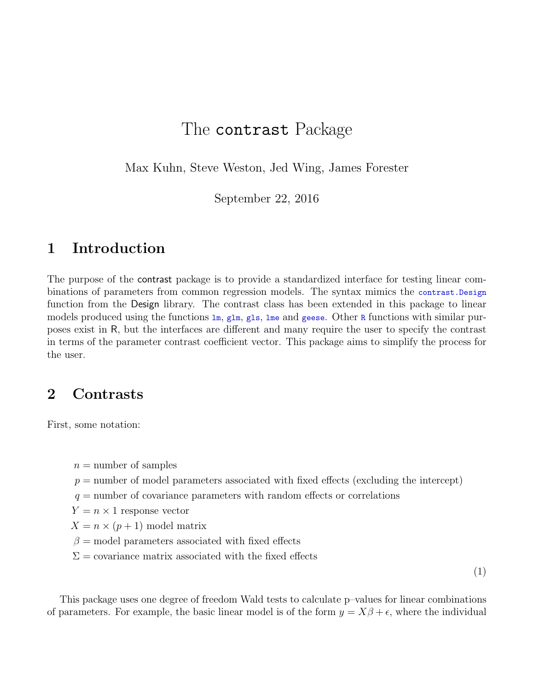# The contrast Package

Max Kuhn, Steve Weston, Jed Wing, James Forester

September 22, 2016

### 1 Introduction

The purpose of the contrast package is to provide a standardized interface for testing linear combinations of parameters from common regression models. The syntax mimics the contrast.Design function from the Design library. The contrast class has been extended in this package to linear models produced using the functions  $\text{Im}, \text{glm}, \text{gls}, \text{Im}$  and geese. Other R functions with similar purposes exist in R, but the interfaces are different and many require the user to specify the contrast in terms of the parameter contrast coefficient vector. This package aims to simplify the process for the user.

## 2 Contrasts

First, some notation:

 $n =$  number of samples

 $p =$  number of model parameters associated with fixed effects (excluding the intercept)

 $q =$  number of covariance parameters with random effects or correlations

 $Y = n \times 1$  response vector

 $X = n \times (p+1)$  model matrix

 $\beta$  = model parameters associated with fixed effects

 $\Sigma$  = covariance matrix associated with the fixed effects

(1)

This package uses one degree of freedom Wald tests to calculate p–values for linear combinations of parameters. For example, the basic linear model is of the form  $y = X\beta + \epsilon$ , where the individual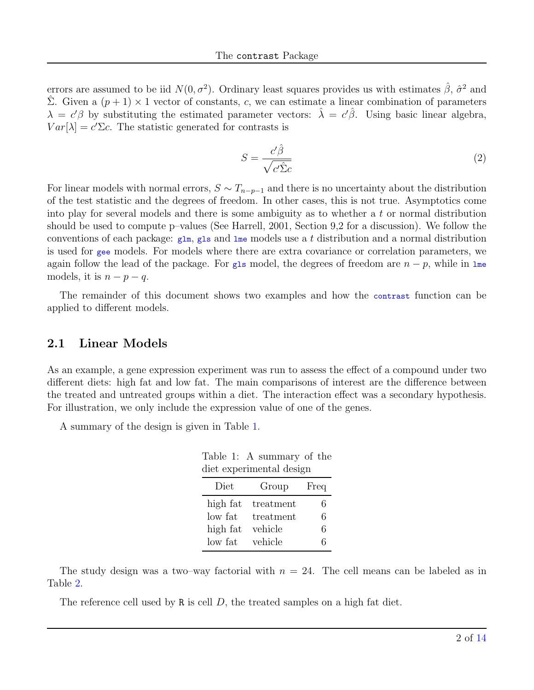errors are assumed to be iid  $N(0, \sigma^2)$ . Ordinary least squares provides us with estimates  $\hat{\beta}$ ,  $\hat{\sigma}^2$  and  $\hat{\Sigma}$ . Given a  $(p+1) \times 1$  vector of constants, c, we can estimate a linear combination of parameters  $\lambda = c'\beta$  by substituting the estimated parameter vectors:  $\hat{\lambda} = c'\hat{\beta}$ . Using basic linear algebra,  $Var[\lambda] = c'\Sigma c$ . The statistic generated for contrasts is

<span id="page-1-1"></span>
$$
S = \frac{c'\hat{\beta}}{\sqrt{c'\hat{\Sigma}c}}\tag{2}
$$

For linear models with normal errors,  $S \sim T_{n-p-1}$  and there is no uncertainty about the distribution of the test statistic and the degrees of freedom. In other cases, this is not true. Asymptotics come into play for several models and there is some ambiguity as to whether a  $t$  or normal distribution should be used to compute p–values (See Harrell, 2001, Section 9,2 for a discussion). We follow the conventions of each package:  $g1m$ ,  $g1s$  and  $1me$  models use a t distribution and a normal distribution is used for gee models. For models where there are extra covariance or correlation parameters, we again follow the lead of the package. For gls model, the degrees of freedom are  $n - p$ , while in lme models, it is  $n - p - q$ .

The remainder of this document shows two examples and how the contrast function can be applied to different models.

#### 2.1 Linear Models

As an example, a gene expression experiment was run to assess the effect of a compound under two different diets: high fat and low fat. The main comparisons of interest are the difference between the treated and untreated groups within a diet. The interaction effect was a secondary hypothesis. For illustration, we only include the expression value of one of the genes.

A summary of the design is given in Table [1.](#page-1-0)

<span id="page-1-0"></span>Table 1: A summary of the diet experimental design

| Diet     | Group     | Freq |
|----------|-----------|------|
| high fat | treatment | 6    |
| low fat  | treatment | 6    |
| high fat | vehicle   | 6    |
| low fat  | vehicle   | 6    |

The study design was a two–way factorial with  $n = 24$ . The cell means can be labeled as in Table [2.](#page-2-0)

The reference cell used by R is cell  $D$ , the treated samples on a high fat diet.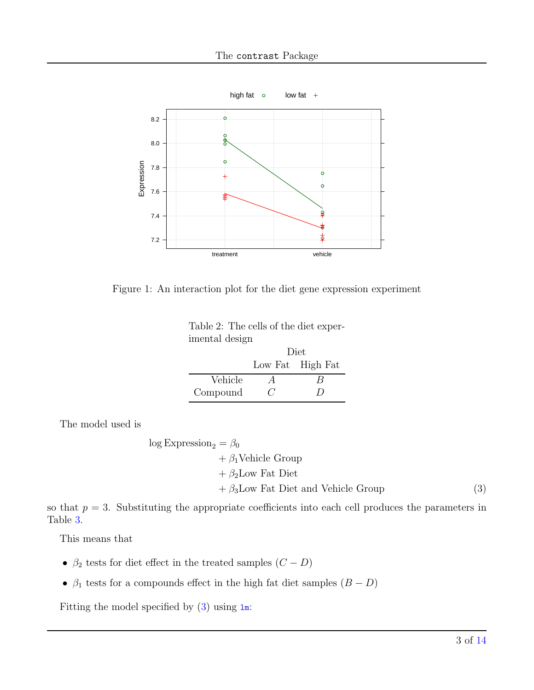

Figure 1: An interaction plot for the diet gene expression experiment

<span id="page-2-0"></span>

| Table 2: The cells of the diet exper- |
|---------------------------------------|
| imental design                        |
| Diet                                  |

<span id="page-2-1"></span>

|          |               | Low Fat High Fat |
|----------|---------------|------------------|
| Vehicle  | А             | В                |
| Compound | $\mathcal{L}$ | $\prime$         |

The model used is

log Expression<sub>2</sub> = 
$$
\beta_0
$$
  
+  $\beta_1$ Vehicle Group  
+  $\beta_2$ Low Fat Diet  
+  $\beta_3$ Low Fat Diet and Vehicle Group (3)

so that  $p = 3$ . Substituting the appropriate coefficients into each cell produces the parameters in Table [3.](#page-3-0)

This means that

- $\bullet$   $\beta_2$  tests for diet effect in the treated samples  $(C-D)$
- $\beta_1$  tests for a compounds effect in the high fat diet samples  $(B D)$

Fitting the model specified by  $(3)$  using  $1m$ :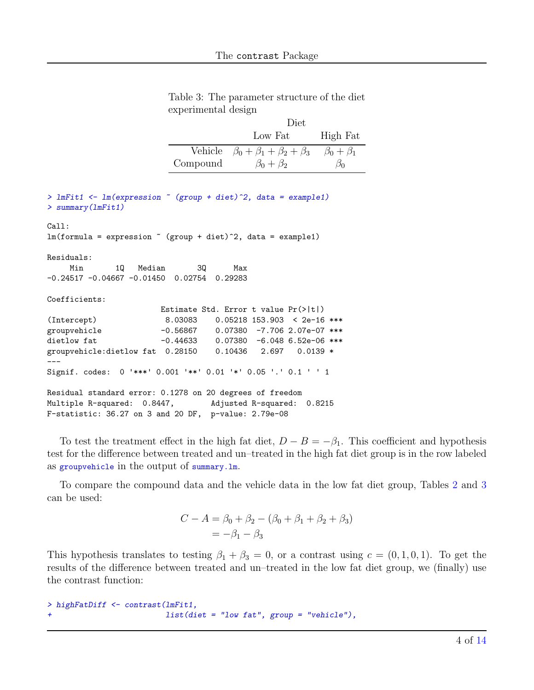<span id="page-3-0"></span>

|                     | Table 3: The parameter structure of the diet |  |  |
|---------------------|----------------------------------------------|--|--|
| experimental design |                                              |  |  |

|          | Diet                                            |                     |
|----------|-------------------------------------------------|---------------------|
|          | Low Fat                                         | High Fat            |
|          | Vehicle $\beta_0 + \beta_1 + \beta_2 + \beta_3$ | $\beta_0 + \beta_1$ |
| Compound | $\beta_0 + \beta_2$                             |                     |

```
> lmFit1 <- lm(expression ~ (group + diet)^2, data = example1)
> summary(lmFit1)
Ca11:lm(formula = expression " (group + diet)^2, data = example1)Residuals:
    Min 1Q Median 3Q Max
-0.24517 -0.04667 -0.01450 0.02754 0.29283
Coefficients:
                      Estimate Std. Error t value Pr(>|t|)
(Intercept) 8.03083 0.05218 153.903 < 2e-16 ***
groupvehicle -0.56867 0.07380 -7.706 2.07e-07 ***
dietlow fat -0.44633 0.07380 -6.048 6.52e-06 ***
groupvehicle:dietlow fat 0.28150 0.10436 2.697 0.0139 *
---
Signif. codes: 0 '***' 0.001 '**' 0.01 '*' 0.05 '.' 0.1 ' ' 1
Residual standard error: 0.1278 on 20 degrees of freedom
Multiple R-squared: 0.8447, Adjusted R-squared: 0.8215
F-statistic: 36.27 on 3 and 20 DF, p-value: 2.79e-08
```
To test the treatment effect in the high fat diet,  $D - B = -\beta_1$ . This coefficient and hypothesis test for the difference between treated and un–treated in the high fat diet group is in the row labeled as groupvehicle in the output of summary.lm.

To compare the compound data and the vehicle data in the low fat diet group, Tables [2](#page-2-0) and [3](#page-3-0) can be used:

$$
C - A = \beta_0 + \beta_2 - (\beta_0 + \beta_1 + \beta_2 + \beta_3) = -\beta_1 - \beta_3
$$

This hypothesis translates to testing  $\beta_1 + \beta_3 = 0$ , or a contrast using  $c = (0, 1, 0, 1)$ . To get the results of the difference between treated and un–treated in the low fat diet group, we (finally) use the contrast function:

```
> highFatDiff <- contrast(lmFit1,
                          list(diet = "low fat", group = "vehicle"),
```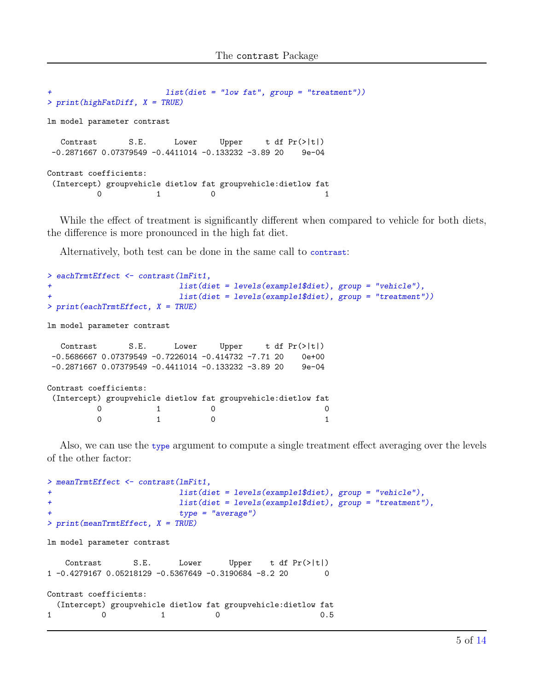```
list(diet = "low fat", group = "treatment"))> print(highFatDiff, X = TRUE)
lm model parameter contrast
  Contrast S.E. Lower Upper t df Pr(>|t|)
-0.2871667 0.07379549 -0.4411014 -0.133232 -3.89 20 9e-04
Contrast coefficients:
(Intercept) groupvehicle dietlow fat groupvehicle:dietlow fat
         0 1 0 1
```
While the effect of treatment is significantly different when compared to vehicle for both diets, the difference is more pronounced in the high fat diet.

Alternatively, both test can be done in the same call to contrast:

```
> eachTrmtEffect <- contrast(lmFit1,
+ list(diet = levels(example1$diet), group = "vehicle"),
                      list(diet = levels(example1$diet), group = "treatment"))> print(eachTrmtEffect, X = TRUE)
lm model parameter contrast
  Contrast S.E. Lower Upper t df Pr(>|t|)
-0.5686667 0.07379549 -0.7226014 -0.414732 -7.71 20 0e+00
-0.2871667 0.07379549 -0.4411014 -0.133232 -3.89 20 9e-04
Contrast coefficients:
(Intercept) groupvehicle dietlow fat groupvehicle:dietlow fat
        0 1 0 0 0
        0 1 0 1
```
Also, we can use the type argument to compute a single treatment effect averaging over the levels of the other factor:

```
> meanTrmtEffect <- contrast(lmFit1,
+ list(diet = levels(example1$diet), group = "vehicle"),
+ list(diet = levels(example1$diet), group = "treatment"),
                      type = "average")> print(meanTrmtEffect, X = TRUE)
lm model parameter contrast
  Contrast S.E. Lower Upper t df Pr(>|t|)
1 -0.4279167 0.05218129 -0.5367649 -0.3190684 -8.2 20 0
Contrast coefficients:
 (Intercept) groupvehicle dietlow fat groupvehicle:dietlow fat
1 0 0.5
```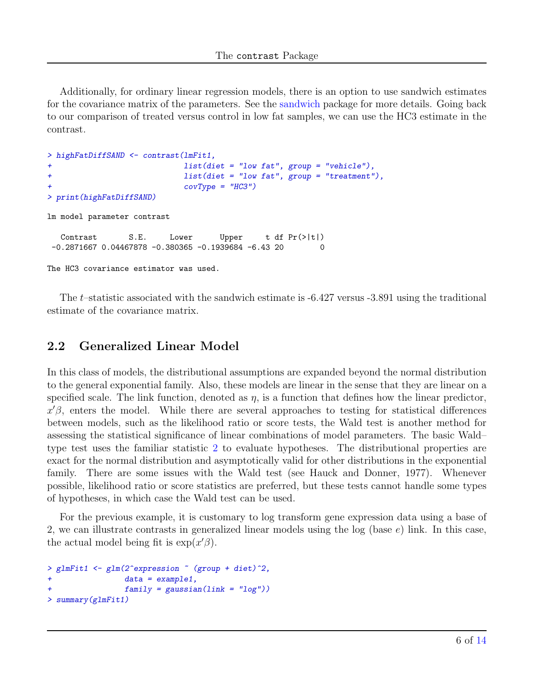Additionally, for ordinary linear regression models, there is an option to use sandwich estimates for the covariance matrix of the parameters. See the [sandwich](http://cran.r-project.org/src/contrib/Descriptions/sandwich.html) package for more details. Going back to our comparison of treated versus control in low fat samples, we can use the HC3 estimate in the contrast.

```
> highFatDiffSAND <- contrast(lmFit1,
+ list(diet = "low fat", group = "vehicle"),
+ list(diet = "low fat", group = "treatment"),
                        covType = "HCS")> print(highFatDiffSAND)
lm model parameter contrast
  Contrast S.E. Lower Upper t df Pr(>|t|)
-0.2871667 0.04467878 -0.380365 -0.1939684 -6.43 20 0
The HC3 covariance estimator was used.
```
The t–statistic associated with the sandwich estimate is -6.427 versus -3.891 using the traditional estimate of the covariance matrix.

### 2.2 Generalized Linear Model

In this class of models, the distributional assumptions are expanded beyond the normal distribution to the general exponential family. Also, these models are linear in the sense that they are linear on a specified scale. The link function, denoted as  $\eta$ , is a function that defines how the linear predictor,  $x'\beta$ , enters the model. While there are several approaches to testing for statistical differences between models, such as the likelihood ratio or score tests, the Wald test is another method for assessing the statistical significance of linear combinations of model parameters. The basic Wald– type test uses the familiar statistic [2](#page-1-1) to evaluate hypotheses. The distributional properties are exact for the normal distribution and asymptotically valid for other distributions in the exponential family. There are some issues with the Wald test (see Hauck and Donner, 1977). Whenever possible, likelihood ratio or score statistics are preferred, but these tests cannot handle some types of hypotheses, in which case the Wald test can be used.

For the previous example, it is customary to log transform gene expression data using a base of 2, we can illustrate contrasts in generalized linear models using the log (base e) link. In this case, the actual model being fit is  $\exp(x'\beta)$ .

```
> glmFit1 <- glm(2^expression ~ (group + diet)^2,
+ data = example1,
+ family = gaussian(link = "log"))
> summary(glmFit1)
```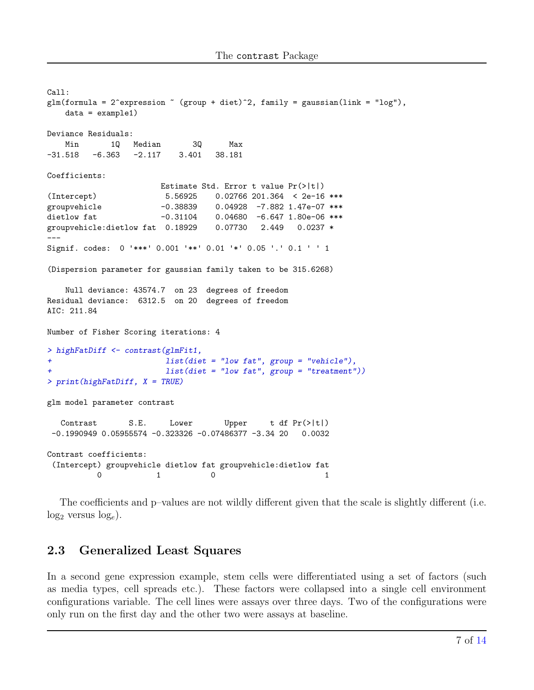```
Call:
glm(formula = 2<sup>-</sup>expression \tilde{ } (group + diet)\hat{ }2, family = gaussian(link = "log"),
   data = example1)Deviance Residuals:
   Min 1Q Median 3Q Max
-31.518 -6.363 -2.117 3.401 38.181Coefficients:
                     Estimate Std. Error t value Pr(>|t|)
(Intercept) 5.56925 0.02766 201.364 < 2e-16 ***
groupvehicle -0.38839 0.04928 -7.882 1.47e-07 ***
dietlow fat -0.31104 0.04680 -6.647 1.80e-06 ***
groupvehicle:dietlow fat 0.18929 0.07730 2.449 0.0237 *
---
Signif. codes: 0 '***' 0.001 '**' 0.01 '*' 0.05 '.' 0.1 ' ' 1
(Dispersion parameter for gaussian family taken to be 315.6268)
   Null deviance: 43574.7 on 23 degrees of freedom
Residual deviance: 6312.5 on 20 degrees of freedom
AIC: 211.84
Number of Fisher Scoring iterations: 4
> highFatDiff <- contrast(glmFit1,
+ list(diet = "low fat", group = "vehicle"),
+ list(diet = "low fat", group = "treatment"))
> print(highFatDiff, X = TRUE)
glm model parameter contrast
  Contrast S.E. Lower Upper t df Pr(>|t|)
 -0.1990949 0.05955574 -0.323326 -0.07486377 -3.34 20 0.0032
Contrast coefficients:
 (Intercept) groupvehicle dietlow fat groupvehicle:dietlow fat
         0 1 0 1
```
The coefficients and p–values are not wildly different given that the scale is slightly different (i.e.  $log_2$  versus  $log_e$ ).

#### 2.3 Generalized Least Squares

In a second gene expression example, stem cells were differentiated using a set of factors (such as media types, cell spreads etc.). These factors were collapsed into a single cell environment configurations variable. The cell lines were assays over three days. Two of the configurations were only run on the first day and the other two were assays at baseline.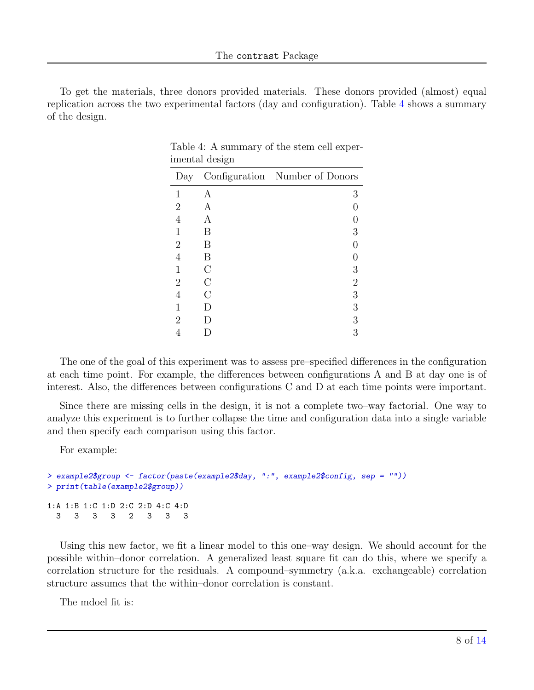To get the materials, three donors provided materials. These donors provided (almost) equal replication across the two experimental factors (day and configuration). Table [4](#page-7-0) shows a summary of the design.

| Day            |               | Configuration Number of Donors |
|----------------|---------------|--------------------------------|
| 1              | А             | 3                              |
| $\overline{2}$ | A             |                                |
| 4              | A             |                                |
| 1              | В             | 3                              |
| $\overline{2}$ | В             |                                |
| 4              | В             |                                |
| 1              | $\mathcal{C}$ | 3                              |
| $\overline{2}$ | $\bigcap$     | 2                              |
| 4              | $\cap$        | 3                              |
| 1              | I)            | 3                              |
| 2              | I)            | 3                              |
|                |               | 3                              |

<span id="page-7-0"></span>Table 4: A summary of the stem cell experimental design

The one of the goal of this experiment was to assess pre–specified differences in the configuration at each time point. For example, the differences between configurations A and B at day one is of interest. Also, the differences between configurations C and D at each time points were important.

Since there are missing cells in the design, it is not a complete two–way factorial. One way to analyze this experiment is to further collapse the time and configuration data into a single variable and then specify each comparison using this factor.

For example:

```
> example2$group <- factor(paste(example2$day, ":", example2$config, sep = ""))
> print(table(example2$group))
1:A 1:B 1:C 1:D 2:C 2:D 4:C 4:D
  3 3 3 3 2 3 3 3
```
Using this new factor, we fit a linear model to this one–way design. We should account for the possible within–donor correlation. A generalized least square fit can do this, where we specify a correlation structure for the residuals. A compound–symmetry (a.k.a. exchangeable) correlation structure assumes that the within–donor correlation is constant.

The mdoel fit is: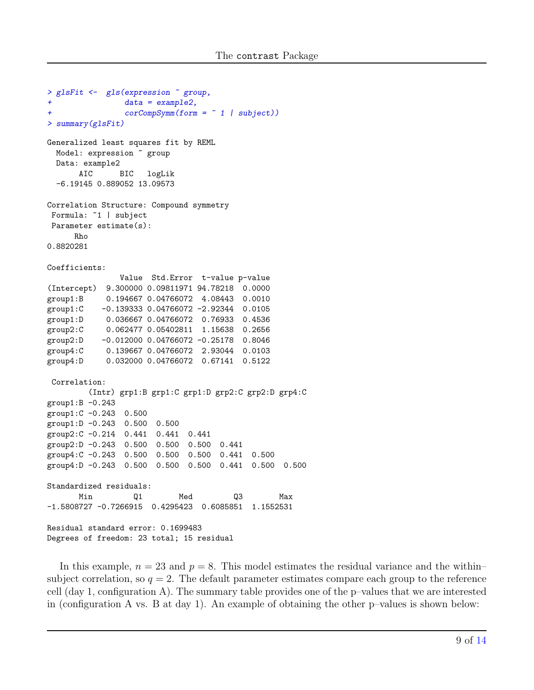```
> glsFit <- gls(expression ~ group,
+ data = example2,
               corCompSymm(form = " 1 | subject))> summary(glsFit)
Generalized least squares fit by REML
 Model: expression ~ group
 Data: example2
      AIC BIC logLik
 -6.19145 0.889052 13.09573
Correlation Structure: Compound symmetry
Formula: ~1 | subject
Parameter estimate(s):
     Rho
0.8820281
Coefficients:
              Value Std.Error t-value p-value
(Intercept) 9.300000 0.09811971 94.78218 0.0000
group1:B 0.194667 0.04766072 4.08443 0.0010
group1:C -0.139333 0.04766072 -2.92344 0.0105
group1:D 0.036667 0.04766072 0.76933 0.4536
group2:C 0.062477 0.05402811 1.15638 0.2656
group2:D -0.012000 0.04766072 -0.25178 0.8046
group4:C 0.139667 0.04766072 2.93044 0.0103
group4:D 0.032000 0.04766072 0.67141 0.5122
Correlation:
        (Intr) grp1:B grp1:C grp1:D grp2:C grp2:D grp4:C
group1:B -0.243
group1:C -0.243 0.500
group1:D -0.243 0.500 0.500
group2:C -0.214 0.441 0.441 0.441
group2:D -0.243 0.500 0.500 0.500 0.441
group4:C -0.243 0.500 0.500 0.500 0.441 0.500
group4:D -0.243 0.500 0.500 0.500 0.441 0.500 0.500
Standardized residuals:
      Min Q1 Med Q3 Max
-1.5808727 -0.7266915 0.4295423 0.6085851 1.1552531
Residual standard error: 0.1699483
Degrees of freedom: 23 total; 15 residual
```
In this example,  $n = 23$  and  $p = 8$ . This model estimates the residual variance and the withinsubject correlation, so  $q = 2$ . The default parameter estimates compare each group to the reference cell (day 1, configuration A). The summary table provides one of the p–values that we are interested in (configuration A vs. B at day 1). An example of obtaining the other p–values is shown below: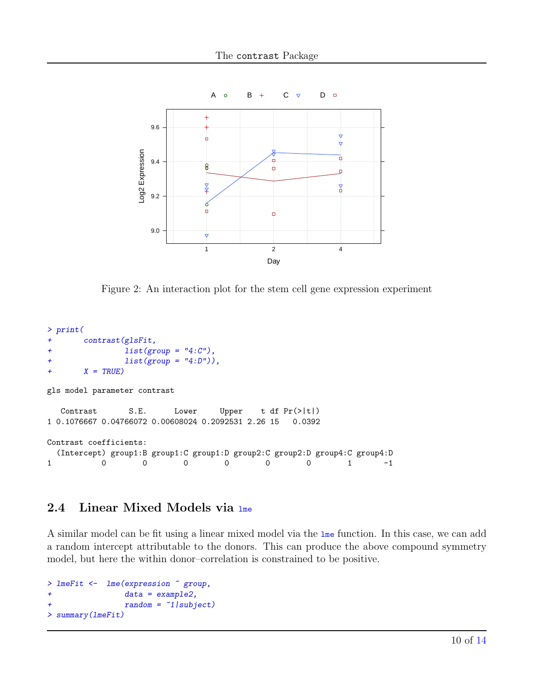

Figure 2: An interaction plot for the stem cell gene expression experiment

```
> print(
+ contrast(glsFit,
+ list(group = "4:C"),
+ list(group = "4:D")),
+ X = TRUE)
gls model parameter contrast
  Contrast S.E. Lower Upper t df Pr(>|t|)
1 0.1076667 0.04766072 0.00608024 0.2092531 2.26 15 0.0392
Contrast coefficients:
 (Intercept) group1:B group1:C group1:D group2:C group2:D group4:C group4:D
1 0 0 0 0 0 0 1 -1
```
## 2.4 Linear Mixed Models via lme

A similar model can be fit using a linear mixed model via the lme function. In this case, we can add a random intercept attributable to the donors. This can produce the above compound symmetry model, but here the within donor–correlation is constrained to be positive.

```
> lmeFit <- lme(expression ~ group,
+ data = example2,
              random = "1|subject)> summary(lmeFit)
```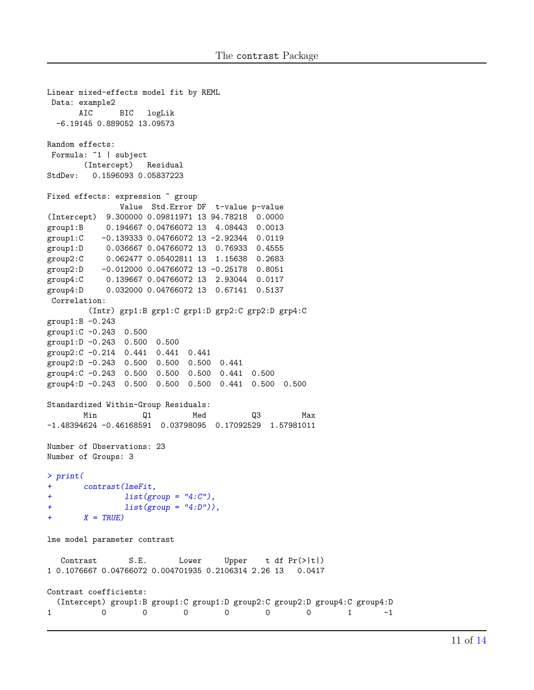```
Linear mixed-effects model fit by REML
Data: example2
      AIC BIC logLik
 -6.19145 0.889052 13.09573
Random effects:
Formula: ~1 | subject
       (Intercept) Residual
StdDev: 0.1596093 0.05837223
Fixed effects: expression \tilde{ } group
              Value Std.Error DF t-value p-value
(Intercept) 9.300000 0.09811971 13 94.78218 0.0000
group1:B 0.194667 0.04766072 13 4.08443 0.0013
group1:C -0.139333 0.04766072 13 -2.92344 0.0119
group1:D 0.036667 0.04766072 13 0.76933 0.4555
group2:C 0.062477 0.05402811 13 1.15638 0.2683
group2:D -0.012000 0.04766072 13 -0.25178 0.8051
group4:C 0.139667 0.04766072 13 2.93044 0.0117
group4:D 0.032000 0.04766072 13 0.67141 0.5137
Correlation:
        (Intr) grp1:B grp1:C grp1:D grp2:C grp2:D grp4:C
group1:B -0.243
group1:C -0.243 0.500
group1:D -0.243 0.500 0.500
group2:C -0.214 0.441 0.441 0.441
group2:D -0.243 0.500 0.500 0.500 0.441
group4:C -0.243 0.500 0.500 0.500 0.441 0.500
group4:D -0.243 0.500 0.500 0.500 0.441 0.500 0.500
Standardized Within-Group Residuals:
       Min Q1 Med Q3 Max
-1.48394624 -0.46168591 0.03798095 0.17092529 1.57981011
Number of Observations: 23
Number of Groups: 3
> print(
+ contrast(lmeFit,
+ list(group = "4:C"),
+ list(group = "4:D")),
+ X = TRUE)
lme model parameter contrast
  Contrast S.E. Lower Upper t df Pr(>|t|)
1 0.1076667 0.04766072 0.004701935 0.2106314 2.26 13 0.0417
Contrast coefficients:
  (Intercept) group1:B group1:C group1:D group2:C group2:D group4:C group4:D
1 0 0 0 0 0 0 1 -1
```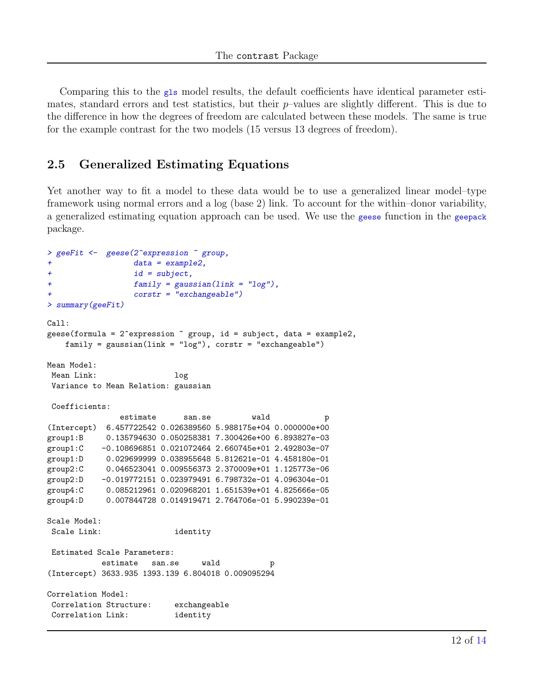Comparing this to the gls model results, the default coefficients have identical parameter estimates, standard errors and test statistics, but their  $p$ -values are slightly different. This is due to the difference in how the degrees of freedom are calculated between these models. The same is true for the example contrast for the two models (15 versus 13 degrees of freedom).

#### 2.5 Generalized Estimating Equations

Yet another way to fit a model to these data would be to use a generalized linear model–type framework using normal errors and a log (base 2) link. To account for the within–donor variability, a generalized estimating equation approach can be used. We use the geese function in the geepack package.

```
> geeFit <- geese(2^expression ~ group,
+ data = example2,
+ id = subject,
+ family = gaussian(link = "log"),
                 \text{costr} = "exchangeable")
> summary(geeFit)
Ca11:geese(formula = 2^{\circ}expression \tilde{ } group, id = subject, data = example2,
   family = gaussian(link = "log"), corstr = "exchangeable")
Mean Model:
Mean Link: log
Variance to Mean Relation: gaussian
Coefficients:
              estimate san.se wald p
(Intercept) 6.457722542 0.026389560 5.988175e+04 0.000000e+00
group1:B 0.135794630 0.050258381 7.300426e+00 6.893827e-03
group1:C -0.108696851 0.021072464 2.660745e+01 2.492803e-07
group1:D 0.029699999 0.038955648 5.812621e-01 4.458180e-01
group2:C 0.046523041 0.009556373 2.370009e+01 1.125773e-06
group2:D -0.019772151 0.023979491 6.798732e-01 4.096304e-01
group4:C 0.085212961 0.020968201 1.651539e+01 4.825666e-05
group4:D 0.007844728 0.014919471 2.764706e-01 5.990239e-01
Scale Model:
Scale Link: identity
Estimated Scale Parameters:
          estimate san.se wald p
(Intercept) 3633.935 1393.139 6.804018 0.009095294
Correlation Model:
Correlation Structure: exchangeable
Correlation Link: identity
```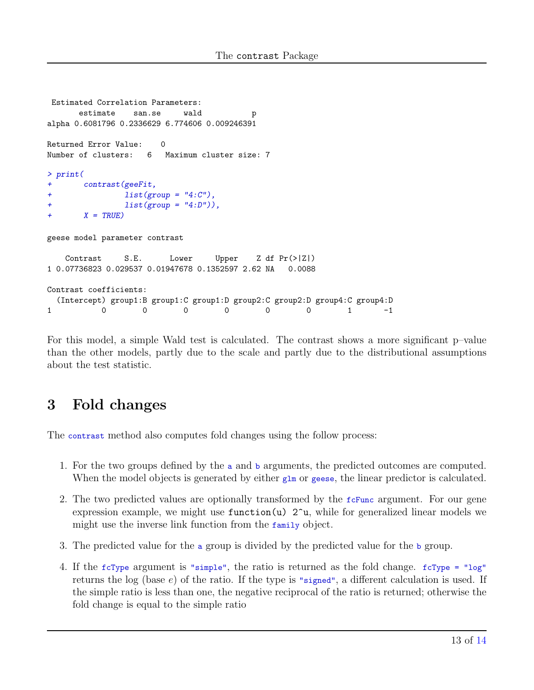```
Estimated Correlation Parameters:
     estimate san.se wald p
alpha 0.6081796 0.2336629 6.774606 0.009246391
Returned Error Value: 0
Number of clusters: 6 Maximum cluster size: 7
> print(
+ contrast(geeFit,
+ list(group = "4:C"),
+ list(group = "4:D")),
+ X = TRUEgeese model parameter contrast
   Contrast S.E. Lower Upper Z df Pr(>|Z|)
1 0.07736823 0.029537 0.01947678 0.1352597 2.62 NA 0.0088
Contrast coefficients:
 (Intercept) group1:B group1:C group1:D group2:C group2:D group4:C group4:D
1 0 0 0 0 0 0 1 -1
```
For this model, a simple Wald test is calculated. The contrast shows a more significant p–value than the other models, partly due to the scale and partly due to the distributional assumptions about the test statistic.

# 3 Fold changes

The contrast method also computes fold changes using the follow process:

- 1. For the two groups defined by the a and b arguments, the predicted outcomes are computed. When the model objects is generated by either  $g_{\text{Im}}$  or geese, the linear predictor is calculated.
- 2. The two predicted values are optionally transformed by the  $f c$ Func argument. For our gene expression example, we might use  $function(u)$   $2\gamma u$ , while for generalized linear models we might use the inverse link function from the family object.
- 3. The predicted value for the a group is divided by the predicted value for the b group.
- 4. If the fcType argument is "simple", the ratio is returned as the fold change. fcType = "log" returns the log (base  $e$ ) of the ratio. If the type is "signed", a different calculation is used. If the simple ratio is less than one, the negative reciprocal of the ratio is returned; otherwise the fold change is equal to the simple ratio